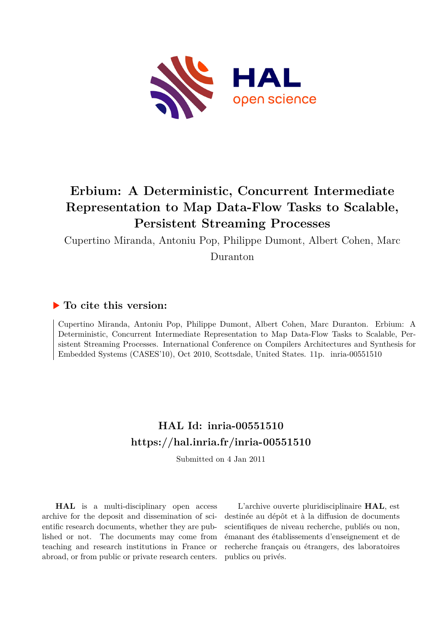

# **Erbium: A Deterministic, Concurrent Intermediate Representation to Map Data-Flow Tasks to Scalable, Persistent Streaming Processes**

Cupertino Miranda, Antoniu Pop, Philippe Dumont, Albert Cohen, Marc

Duranton

## **To cite this version:**

Cupertino Miranda, Antoniu Pop, Philippe Dumont, Albert Cohen, Marc Duranton. Erbium: A Deterministic, Concurrent Intermediate Representation to Map Data-Flow Tasks to Scalable, Persistent Streaming Processes. International Conference on Compilers Architectures and Synthesis for Embedded Systems (CASES'10), Oct 2010, Scottsdale, United States. 11p. inria-00551510

## **HAL Id: inria-00551510 <https://hal.inria.fr/inria-00551510>**

Submitted on 4 Jan 2011

**HAL** is a multi-disciplinary open access archive for the deposit and dissemination of scientific research documents, whether they are published or not. The documents may come from teaching and research institutions in France or abroad, or from public or private research centers.

L'archive ouverte pluridisciplinaire **HAL**, est destinée au dépôt et à la diffusion de documents scientifiques de niveau recherche, publiés ou non, émanant des établissements d'enseignement et de recherche français ou étrangers, des laboratoires publics ou privés.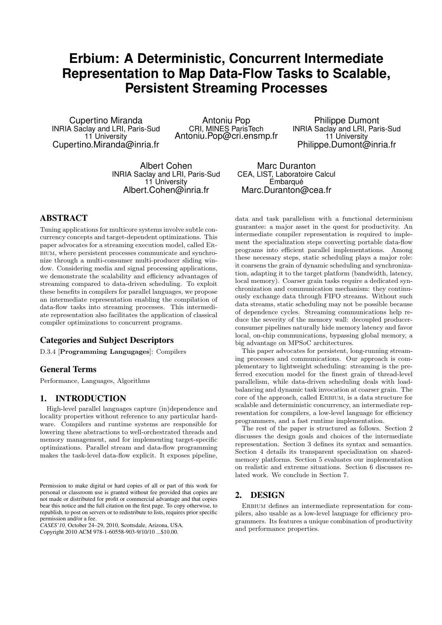## **Erbium: A Deterministic, Concurrent Intermediate Representation to Map Data-Flow Tasks to Scalable, Persistent Streaming Processes**

Cupertino Miranda INRIA Saclay and LRI, Paris-Sud 11 University Cupertino.Miranda@inria.fr

Antoniu Pop CRI, MINES ParisTech Antoniu.Pop@cri.ensmp.fr

Philippe Dumont INRIA Saclay and LRI, Paris-Sud 11 University Philippe.Dumont@inria.fr

Albert Cohen INRIA Saclay and LRI, Paris-Sud 11 University Albert.Cohen@inria.fr

## ABSTRACT

Tuning applications for multicore systems involve subtle concurrency concepts and target-dependent optimizations. This paper advocates for a streaming execution model, called Erbium, where persistent processes communicate and synchronize through a multi-consumer multi-producer sliding window. Considering media and signal processing applications, we demonstrate the scalability and efficiency advantages of streaming compared to data-driven scheduling. To exploit these benefits in compilers for parallel languages, we propose an intermediate representation enabling the compilation of data-flow tasks into streaming processes. This intermediate representation also facilitates the application of classical compiler optimizations to concurrent programs.

### Categories and Subject Descriptors

D.3.4 [Programming Langugages]: Compilers

## General Terms

Performance, Languages, Algorithms

## 1. INTRODUCTION

High-level parallel languages capture (in)dependence and locality properties without reference to any particular hardware. Compilers and runtime systems are responsible for lowering these abstractions to well-orchestrated threads and memory management, and for implementing target-specific optimizations. Parallel stream and data-flow programming makes the task-level data-flow explicit. It exposes pipeline,

*CASES'10,* October 24–29, 2010, Scottsdale, Arizona, USA. Copyright 2010 ACM 978-1-60558-903-9/10/10 ...\$10.00.

data and task parallelism with a functional determinism guarantee: a major asset in the quest for productivity. An intermediate compiler representation is required to implement the specialization steps converting portable data-flow programs into efficient parallel implementations. Among these necessary steps, static scheduling plays a major role: it coarsens the grain of dynamic scheduling and synchronization, adapting it to the target platform (bandwidth, latency, local memory). Coarser grain tasks require a dedicated synchronization and communication mechanism: they continuously exchange data through FIFO streams. Without such data streams, static scheduling may not be possible because of dependence cycles. Streaming communications help reduce the severity of the memory wall: decoupled producerconsumer pipelines naturally hide memory latency and favor local, on-chip communications, bypassing global memory, a big advantage on MPSoC architectures.

This paper advocates for persistent, long-running streaming processes and communications. Our approach is complementary to lightweight scheduling: streaming is the preferred execution model for the finest grain of thread-level parallelism, while data-driven scheduling deals with loadbalancing and dynamic task invocation at coarser grain. The core of the approach, called ERBIUM, is a data structure for scalable and deterministic concurrency, an intermediate representation for compilers, a low-level language for efficiency programmers, and a fast runtime implementation.

The rest of the paper is structured as follows. Section 2 discusses the design goals and choices of the intermediate representation. Section 3 defines its syntax and semantics. Section 4 details its transparent specialization on sharedmemory platforms. Section 5 evaluates our implementation on realistic and extreme situations. Section 6 discusses related work. We conclude in Section 7.

### 2. DESIGN

ERBIUM defines an intermediate representation for compilers, also usable as a low-level language for efficiency programmers. Its features a unique combination of productivity and performance properties.

Marc Duranton CEA, LIST, Laboratoire Calcul Embarqué Marc.Duranton@cea.fr

Permission to make digital or hard copies of all or part of this work for personal or classroom use is granted without fee provided that copies are not made or distributed for profit or commercial advantage and that copies bear this notice and the full citation on the first page. To copy otherwise, to republish, to post on servers or to redistribute to lists, requires prior specific permission and/or a fee.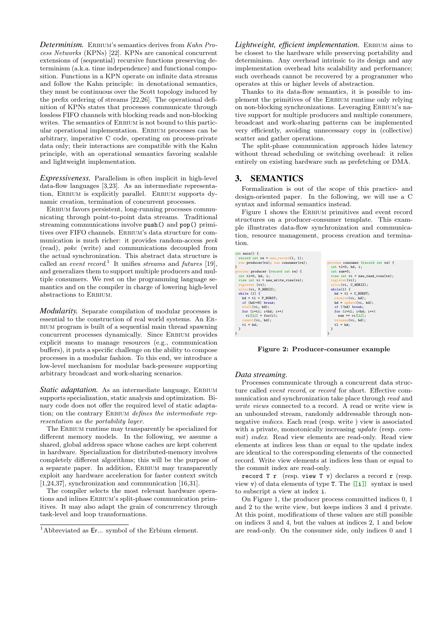*Determinism.* ERBIUM's semantics derives from Kahn Process Networks (KPNs) [22]. KPNs are canonical concurrent extensions of (sequential) recursive functions preserving determinism (a.k.a. time independence) and functional composition. Functions in a KPN operate on infinite data streams and follow the Kahn principle: in denotational semantics, they must be continuous over the Scott topology induced by the prefix ordering of streams [22,26]. The operational definition of KPNs states that processes communicate through lossless FIFO channels with blocking reads and non-blocking writes. The semantics of ERBIUM is not bound to this particular operational implementation. ERBIUM processes can be arbitrary, imperative C code, operating on process-private data only; their interactions are compatible with the Kahn principle, with an operational semantics favoring scalable and lightweight implementation.

*Expressiveness.* Parallelism is often implicit in high-level data-flow languages [3,23]. As an intermediate representation, ERBIUM is explicitly parallel. ERBIUM supports dynamic creation, termination of concurrent processes.

ERBIUM favors persistent, long-running processes communicating through point-to-point data streams. Traditional streaming communications involve push() and pop() primitives over FIFO channels. ERBIUM's data structure for communication is much richer: it provides random-access peek (read), poke (write) and communications decoupled from the actual synchronization. This abstract data structure is called an *event record*.<sup>1</sup> It unifies *streams* and *futures* [19], and generalizes them to support multiple producers and multiple consumers. We rest on the programming language semantics and on the compiler in charge of lowering high-level abstractions to ERBIUM.

*Modularity.* Separate compilation of modular processes is essential to the construction of real world systems. An Erbium program is built of a sequential main thread spawning concurrent processes dynamically. Since ERBIUM provides explicit means to manage resources (e.g., communication buffers), it puts a specific challenge on the ability to compose processes in a modular fashion. To this end, we introduce a low-level mechanism for modular back-pressure supporting arbitrary broadcast and work-sharing scenarios.

**Static adaptation.** As an intermediate language, ERBIUM supports specialization, static analysis and optimization. Binary code does not offer the required level of static adaptation; on the contrary ERBIUM defines the intermediate representation as the portability layer.

The ERBIUM runtime may transparently be specialized for different memory models. In the following, we assume a shared, global address space whose caches are kept coherent in hardware. Specialization for distributed-memory involves completely different algorithms; this will be the purpose of a separate paper. In addition, ERBIUM may transparently exploit any hardware acceleration for faster context switch [1,24,37], synchronization and communication [16,31].

The compiler selects the most relevant hardware operations and inlines ERBIUM's split-phase communication primitives. It may also adapt the grain of concurrency through task-level and loop transformations.

Lightweight, efficient implementation. ERBIUM aims to be closest to the hardware while preserving portability and determinism. Any overhead intrinsic to its design and any implementation overhead hits scalability and performance; such overheads cannot be recovered by a programmer who operates at this or higher levels of abstraction.

Thanks to its data-flow semantics, it is possible to implement the primitives of the ERBIUM runtime only relying on non-blocking synchronizations. Leveraging ERBIUM's native support for multiple producers and multiple consumers, broadcast and work-sharing patterns can be implemented very efficiently, avoiding unnecessary copy in (collective) scatter and gather operations.

The split-phase communication approach hides latency without thread scheduling or switching overhead: it relies entirely on existing hardware such as prefetching or DMA.

#### 3. SEMANTICS

Formalization is out of the scope of this practice- and design-oriented paper. In the following, we will use a C syntax and informal semantics instead.

Figure 1 shows the ERBIUM primitives and event record structures on a producer-consumer template. This example illustrates data-flow synchronization and communication, resource management, process creation and termination.



Figure 2: Producer-consumer example

#### *Data streaming.*

Processes communicate through a concurrent data structure called event record, or record for short. Effective communication and synchronization take place through read and write views connected to a record. A read or write view is an unbounded stream, randomly addressable through nonnegative indices. Each read (resp. write ) view is associated with a private, monotonically increasing update (resp. commit) index. Read view elements are read-only. Read view elements at indices less than or equal to the update index are identical to the corresponding elements of the connected record. Write view elements at indices less than or equal to the commit index are read-only.

record  $T r$  (resp. view  $T v$ ) declares a record  $r$  (resp. view  $\mathbf{v}$ ) of data elements of type T. The  $[[\mathbf{i}]]$  syntax is used to subscript a view at index i.

On Figure 1, the producer process committed indices 0, 1 and 2 to the write view, but keeps indices 3 and 4 private. At this point, modifications of these values are still possible on indices 3 and 4, but the values at indices 2, 1 and below are read-only. On the consumer side, only indices 0 and 1

 $1$ Abbreviated as Er... symbol of the Erbium element.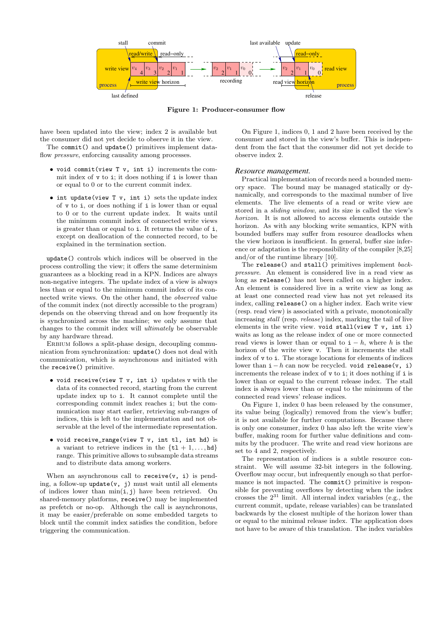

Figure 1: Producer-consumer flow

have been updated into the view; index 2 is available but the consumer did not yet decide to observe it in the view.

The commit() and update() primitives implement dataflow *pressure*, enforcing causality among processes.

- void commit(view T v, int i) increments the commit index of  $v$  to  $i$ ; it does nothing if  $i$  is lower than or equal to 0 or to the current commit index.
- int update(view T v, int i) sets the update index of v to i, or does nothing if i is lower than or equal to 0 or to the current update index. It waits until the minimum commit index of connected write views is greater than or equal to i. It returns the value of i, except on deallocation of the connected record, to be explained in the termination section.

update() controls which indices will be observed in the process controlling the view; it offers the same determinism guarantees as a blocking read in a KPN. Indices are always non-negative integers. The update index of a view is always less than or equal to the minimum commit index of its connected write views. On the other hand, the observed value of the commit index (not directly accessible to the program) depends on the observing thread and on how frequently its is synchronized across the machine; we only assume that changes to the commit index will ultimately be observable by any hardware thread.

ERBIUM follows a split-phase design, decoupling communication from synchronization: update() does not deal with communication, which is asynchronous and initiated with the receive() primitive.

- void receive(view T v, int i) updates v with the data of its connected record, starting from the current update index up to i. It cannot complete until the corresponding commit index reaches i; but the communication may start earlier, retrieving sub-ranges of indices, this is left to the implementation and not observable at the level of the intermediate representation.
- void receive\_range(view T v, int tl, int hd) is a variant to retrieve indices in the  $\{t1 + 1, \ldots, \text{hd}\}\$ range. This primitive allows to subsample data streams and to distribute data among workers.

When an asynchronous call to  $\text{receive}(v, i)$  is pending, a follow-up update(v, j) must wait until all elements of indices lower than  $min(i, j)$  have been retrieved. On shared-memory platforms, receive() may be implemented as prefetch or no-op. Although the call is asynchronous, it may be easier/preferable on some embedded targets to block until the commit index satisfies the condition, before triggering the communication.

On Figure 1, indices 0, 1 and 2 have been received by the consumer and stored in the view's buffer. This is independent from the fact that the consumer did not yet decide to observe index 2.

#### *Resource management.*

Practical implementation of records need a bounded memory space. The bound may be managed statically or dynamically, and corresponds to the maximal number of live elements. The live elements of a read or write view are stored in a sliding window, and its size is called the view's horizon. It is not allowed to access elements outside the horizon. As with any blocking write semantics, KPN with bounded buffers may suffer from resource deadlocks when the view horizon is insufficient. In general, buffer size inference or adaptation is the responsibility of the compiler [8,25] and/or of the runtime library [10].

The release() and stall() primitives implement backpressure. An element is considered live in a read view as long as release() has not been called on a higher index. An element is considered live in a write view as long as at least one connected read view has not yet released its index, calling release() on a higher index. Each write view (resp. read view) is associated with a private, monotonically increasing stall (resp. release) index, marking the tail of live elements in the write view. void stall(view T v, int i) waits as long as the release index of one or more connected read views is lower than or equal to  $i - h$ , where h is the horizon of the write view v. Then it increments the stall index of v to i. The storage locations for elements of indices lower than  $i - h$  can now be recycled. void release(v, i) increments the release index of  $v$  to  $i$ ; it does nothing if  $i$  is lower than or equal to the current release index. The stall index is always lower than or equal to the minimum of the connected read views' release indices.

On Figure 1, index 0 has been released by the consumer, its value being (logically) removed from the view's buffer; it is not available for further computations. Because there is only one consumer, index 0 has also left the write view's buffer, making room for further value definitions and commits by the producer. The write and read view horizons are set to 4 and 2, respectively.

The representation of indices is a subtle resource constraint. We will assume 32-bit integers in the following. Overflow may occur, but infrequently enough so that performance is not impacted. The commit() primitive is responsible for preventing overflows by detecting when the index crosses the  $2^{31}$  limit. All internal index variables (e.g., the current commit, update, release variables) can be translated backwards by the closest multiple of the horizon lower than or equal to the minimal release index. The application does not have to be aware of this translation. The index variables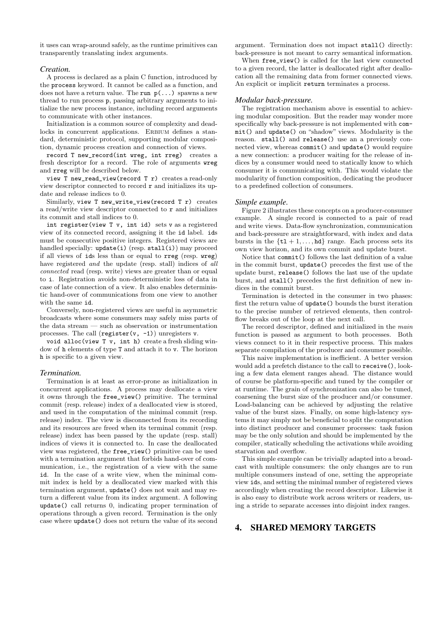it uses can wrap-around safely, as the runtime primitives can transparently translating index arguments.

#### *Creation.*

A process is declared as a plain C function, introduced by the process keyword. It cannot be called as a function, and does not have a return value. The run  $p(\ldots)$  spawns a new thread to run process p, passing arbitrary arguments to initialize the new process instance, including record arguments to communicate with other instances.

Initialization is a common source of complexity and deadlocks in concurrent applications. ERBIUM defines a standard, deterministic protocol, supporting modular composition, dynamic process creation and connection of views.

record T new\_record(int wreg, int rreg) creates a fresh descriptor for a record. The role of arguments wreg and rreg will be described below.

view T new\_read\_view(record T r) creates a read-only view descriptor connected to record  $\mathbf r$  and initializes its update and release indices to 0.

Similarly, view T new\_write\_view(record T r) creates a read/write view descriptor connected to r and initializes its commit and stall indices to 0.

int register(view T v, int id) sets v as a registered view of its connected record, assigning it the id label. ids must be consecutive positive integers. Registered views are handled specially: update(i) (resp. stall(i)) may proceed if all views of ids less than or equal to rreg (resp. wreg) have registered and the update (resp. stall) indices of all connected read (resp. write) views are greater than or equal to i. Registration avoids non-deterministic loss of data in case of late connection of a view. It also enables deterministic hand-over of communications from one view to another with the same id.

Conversely, non-registered views are useful in asymmetric broadcasts where some consumers may safely miss parts of the data stream — such as observation or instrumentation processes. The call  $(\text{register}(v, -1))$  unregisters v.

void alloc(view T v, int h) create a fresh sliding window of h elements of type T and attach it to v. The horizon h is specific to a given view.

#### *Termination.*

Termination is at least as error-prone as initialization in concurrent applications. A process may deallocate a view it owns through the free\_view() primitive. The terminal commit (resp. release) index of a deallocated view is stored, and used in the computation of the minimal commit (resp. release) index. The view is disconnected from its recording and its resources are freed when its terminal commit (resp. release) index has been passed by the update (resp. stall) indices of views it is connected to. In case the deallocated view was registered, the free\_view() primitive can be used with a termination argument that forbids hand-over of communication, i.e., the registration of a view with the same id. In the case of a write view, when the minimal commit index is held by a deallocated view marked with this termination argument, update() does not wait and may return a different value from its index argument. A following update() call returns 0, indicating proper termination of operations through a given record. Termination is the only case where update() does not return the value of its second argument. Termination does not impact stall() directly: back-pressure is not meant to carry semantical information.

When free\_view() is called for the last view connected to a given record, the latter is deallocated right after deallocation all the remaining data from former connected views. An explicit or implicit return terminates a process.

#### *Modular back-pressure.*

The registration mechanism above is essential to achieving modular composition. But the reader may wonder more specifically why back-pressure is not implemented with commit() and update() on "shadow" views. Modularity is the reason. stall() and release() use an a previously connected view, whereas commit() and update() would require a new connection: a producer waiting for the release of indices by a consumer would need to statically know to which consumer it is communicating with. This would violate the modularity of function composition, dedicating the producer to a predefined collection of consumers.

#### *Simple example.*

Figure 2 illustrates these concepts on a producer-consumer example. A single record is connected to a pair of read and write views. Data-flow synchronization, communication and back-pressure are straightforward, with index and data bursts in the  $\{t1 + 1, \ldots, \text{hd}\}\$  range. Each process sets its own view horizon, and its own commit and update burst.

Notice that commit() follows the last definition of a value in the commit burst, update() precedes the first use of the update burst, release() follows the last use of the update burst, and stall() precedes the first definition of new indices in the commit burst.

Termination is detected in the consumer in two phases: first the return value of update() bounds the burst iteration to the precise number of retrieved elements, then controlflow breaks out of the loop at the next call.

The record descriptor, defined and initialized in the main function is passed as argument to both processes. Both views connect to it in their respective process. This makes separate compilation of the producer and consumer possible.

This naive implementation is inefficient. A better version would add a prefetch distance to the call to receive(), looking a few data element ranges ahead. The distance would of course be platform-specific and tuned by the compiler or at runtime. The grain of synchronization can also be tuned, coarsening the burst size of the producer and/or consumer. Load-balancing can be achieved by adjusting the relative value of the burst sizes. Finally, on some high-latency systems it may simply not be beneficial to split the computation into distinct producer and consumer processes: task fusion may be the only solution and should be implemented by the compiler, statically scheduling the activations while avoiding starvation and overflow.

This simple example can be trivially adapted into a broadcast with multiple consumers: the only changes are to run multiple consumers instead of one, setting the appropriate view ids, and setting the minimal number of registered views accordingly when creating the record descriptor. Likewise it is also easy to distribute work across writers or readers, using a stride to separate accesses into disjoint index ranges.

## 4. SHARED MEMORY TARGETS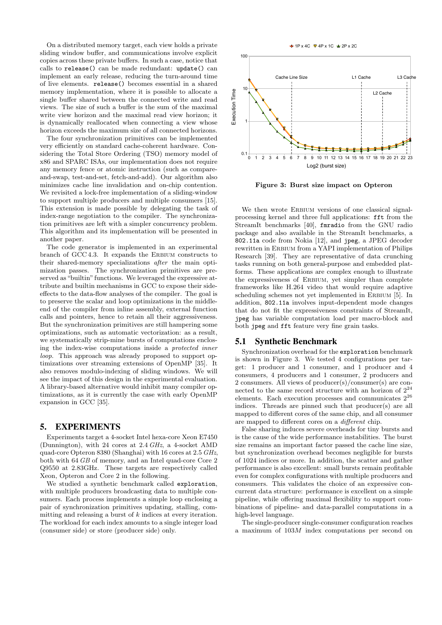On a distributed memory target, each view holds a private sliding window buffer, and communications involve explicit copies across these private buffers. In such a case, notice that calls to release() can be made redundant: update() can implement an early release, reducing the turn-around time of live elements. release() becomes essential in a shared memory implementation, where it is possible to allocate a single buffer shared between the connected write and read views. The size of such a buffer is the sum of the maximal write view horizon and the maximal read view horizon; it is dynamically reallocated when connecting a view whose horizon exceeds the maximum size of all connected horizons.

The four synchronization primitives can be implemented very efficiently on standard cache-coherent hardware. Considering the Total Store Ordering (TSO) memory model of x86 and SPARC ISAs, our implementation does not require any memory fence or atomic instruction (such as compareand-swap, test-and-set, fetch-and-add). Our algorithm also minimizes cache line invalidation and on-chip contention. We revisited a lock-free implementation of a sliding-window to support multiple producers and multiple consumers [15]. This extension is made possible by delegating the task of index-range negotiation to the compiler. The synchronization primitives are left with a simpler concurrency problem. This algorithm and its implementation will be presented in another paper.

The code generator is implemented in an experimental branch of GCC 4.3. It expands the ERBIUM constructs to their shared-memory specializations after the main optimization passes. The synchronization primitives are preserved as "builtin" functions. We leveraged the expressive attribute and builtin mechanisms in GCC to expose their sideeffects to the data-flow analyses of the compiler. The goal is to preserve the scalar and loop optimizations in the middleend of the compiler from inline assembly, external function calls and pointers, hence to retain all their aggressiveness. But the synchronization primitives are still hampering some optimizations, such as automatic vectorization: as a result, we systematically strip-mine bursts of computations enclosing the index-wise computations inside a protected inner loop. This approach was already proposed to support optimizations over streaming extensions of OpenMP [35]. It also removes modulo-indexing of sliding windows. We will see the impact of this design in the experimental evaluation. A library-based alternative would inhibit many compiler optimizations, as it is currently the case with early OpenMP expansion in GCC [35].

#### 5. EXPERIMENTS

Experiments target a 4-socket Intel hexa-core Xeon E7450 (Dunnington), with 24 cores at 2.4 GHz, a 4-socket AMD quad-core Opteron 8380 (Shanghai) with 16 cores at 2.5  $GHz$ , both with 64 GB of memory, and an Intel quad-core Core 2 Q9550 at 2.83GHz. These targets are respectively called Xeon, Opteron and Core 2 in the following.

We studied a synthetic benchmark called exploration, with multiple producers broadcasting data to multiple consumers. Each process implements a simple loop enclosing a pair of synchronization primitives updating, stalling, committing and releasing a burst of  $k$  indices at every iteration. The workload for each index amounts to a single integer load (consumer side) or store (producer side) only.



Figure 3: Burst size impact on Opteron

We then wrote ERBIUM versions of one classical signalprocessing kernel and three full applications: fft from the StreamIt benchmarks [40], fmradio from the GNU radio package and also available in the StreamIt benchmarks, a 802.11a code from Nokia [12], and jpeg, a JPEG decoder rewritten in ERBIUM from a YAPI implementation of Philips Research [39]. They are representative of data crunching tasks running on both general-purpose and embedded platforms. These applications are complex enough to illustrate the expressiveness of ERBIUM, yet simpler than complete frameworks like H.264 video that would require adaptive scheduling schemes not yet implemented in ERBIUM [5]. In addition, 802.11a involves input-dependent mode changes that do not fit the expressiveness constraints of StreamIt, jpeg has variable computation load per macro-block and both jpeg and fft feature very fine grain tasks.

#### 5.1 Synthetic Benchmark

Synchronization overhead for the exploration benchmark is shown in Figure 3. We tested 4 configurations per target: 1 producer and 1 consumer, and 1 producer and 4 consumers, 4 producers and 1 consumer, 2 producers and 2 consumers. All views of producer(s)/consumer(s) are connected to the same record structure with an horizon of  $2^{24}$ elements. Each execution processes and communicates  $2^{26}$ indices. Threads are pinned such that producer(s) are all mapped to different cores of the same chip, and all consumer are mapped to different cores on a different chip.

False sharing induces severe overheads for tiny bursts and is the cause of the wide performance instabilities. The burst size remains an important factor passed the cache line size, but synchronization overhead becomes negligible for bursts of 1024 indices or more. In addition, the scatter and gather performance is also excellent: small bursts remain profitable even for complex configurations with multiple producers and consumers. This validates the choice of an expressive concurrent data structure: performance is excellent on a simple pipeline, while offering maximal flexibility to support combinations of pipeline- and data-parallel computations in a high-level language.

The single-producer single-consumer configuration reaches a maximum of 103M index computations per second on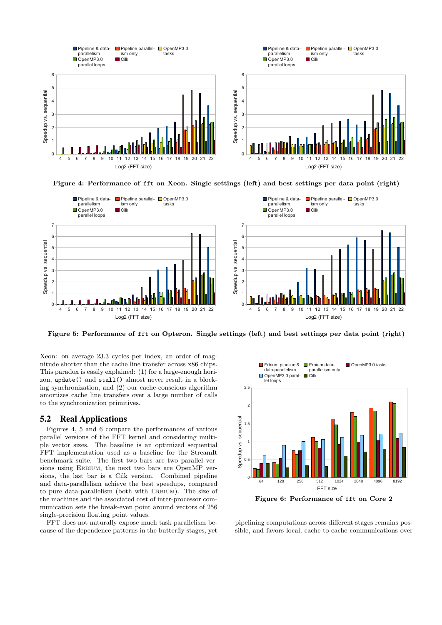

Figure 4: Performance of fft on Xeon. Single settings (left) and best settings per data point (right)



Figure 5: Performance of fft on Opteron. Single settings (left) and best settings per data point (right)

Xeon: on average 23.3 cycles per index, an order of magnitude shorter than the cache line transfer across x86 chips. This paradox is easily explained: (1) for a large-enough horizon, update() and stall() almost never result in a blocking synchronization, and (2) our cache-conscious algorithm amortizes cache line transfers over a large number of calls to the synchronization primitives.

#### 5.2 Real Applications

Figures 4, 5 and 6 compare the performances of various parallel versions of the FFT kernel and considering multiple vector sizes. The baseline is an optimized sequential FFT implementation used as a baseline for the StreamIt benchmark suite. The first two bars are two parallel versions using ERBIUM, the next two bars are OpenMP versions, the last bar is a Cilk version. Combined pipeline and data-parallelism achieve the best speedups, compared to pure data-parallelism (both with ERBIUM). The size of the machines and the associated cost of inter-processor communication sets the break-even point around vectors of 256 single-precision floating point values.

FFT does not naturally expose much task parallelism because of the dependence patterns in the butterfly stages, yet



pipelining computations across different stages remains possible, and favors local, cache-to-cache communications over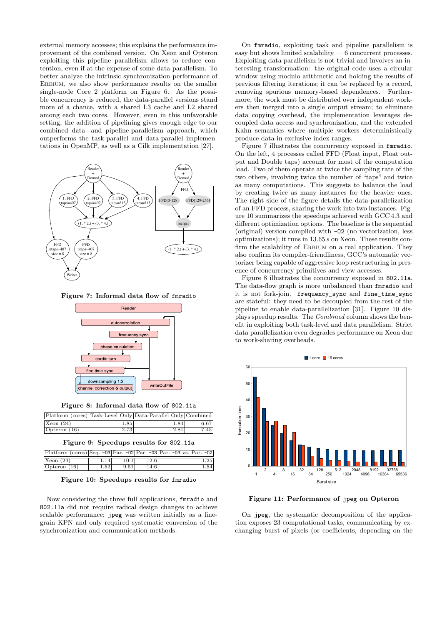external memory accesses; this explains the performance improvement of the combined version. On Xeon and Opteron exploiting this pipeline parallelism allows to reduce contention, even if at the expense of some data-parallelism. To better analyze the intrinsic synchronization performance of ERBIUM, we also show performance results on the smaller single-node Core 2 platform on Figure 6. As the possible concurrency is reduced, the data-parallel versions stand more of a chance, with a shared L3 cache and L2 shared among each two cores. However, even in this unfavorable setting, the addition of pipelining gives enough edge to our combined data- and pipeline-parallelism approach, which outperforms the task-parallel and data-parallel implementations in OpenMP, as well as a Cilk implementation [27].



Figure 7: Informal data flow of fmradio



Figure 8: Informal data flow of 802.11a

|                |       | Platform (cores) Task-Level Only Data-Parallel Only Combined |      |
|----------------|-------|--------------------------------------------------------------|------|
| Xeon(24)       | 1.851 | 1.841                                                        | 6.67 |
| Opteron $(16)$ | 2.73  | 2.81                                                         | 7.45 |

|  | Figure 9: Speedups results for 802.11a |  |  |  |  |
|--|----------------------------------------|--|--|--|--|
|--|----------------------------------------|--|--|--|--|

|                |       |       |      | Platform (cores) $\text{Seq. -03}$ Par. $-\overline{02}$ Par. $-\overline{03}$ Par. $-\overline{03}$ vs. Par. $-\overline{02}$ |
|----------------|-------|-------|------|--------------------------------------------------------------------------------------------------------------------------------|
| Xeon (24)      | 1.141 | 10.11 | 12.6 | 1.25                                                                                                                           |
| Opteron $(16)$ | 1.521 | 9.51  | 14.6 | 1.54                                                                                                                           |

Figure 10: Speedups results for fmradio

Now considering the three full applications, fmradio and 802.11a did not require radical design changes to achieve scalable performance; jpeg was written initially as a finegrain KPN and only required systematic conversion of the synchronization and communication methods.

On fmradio, exploiting task and pipeline parallelism is easy but shows limited scalability — 6 concurrent processes. Exploiting data parallelism is not trivial and involves an interesting transformation: the original code uses a circular window using modulo arithmetic and holding the results of previous filtering iterations; it can be replaced by a record, removing spurious memory-based dependences. Furthermore, the work must be distributed over independent workers then merged into a single output stream; to eliminate data copying overhead, the implementation leverages decoupled data access and synchronization, and the extended Kahn semantics where multiple workers deterministically produce data in exclusive index ranges.

Figure 7 illustrates the concurrency exposed in fmradio. On the left, 4 processes called FFD (Float input, Float output and Double taps) account for most of the computation load. Two of them operate at twice the sampling rate of the two others, involving twice the number of "taps" and twice as many computations. This suggests to balance the load by creating twice as many instances for the heavier ones. The right side of the figure details the data-parallelization of an FFD process, sharing the work into two instances. Figure 10 summarizes the speedups achieved with GCC 4.3 and different optimization options. The baseline is the sequential (original) version compiled with -O2 (no vectorization, less optimizations); it runs in 13.65 s on Xeon. These results confirm the scalability of ERBIUM on a real application. They also confirm its compiler-friendliness, GCC's automatic vectorizer being capable of aggressive loop restructuring in presence of concurrency primitives and view accesses.

Figure 8 illustrates the concurrency exposed in 802.11a. The data-flow graph is more unbalanced than fmradio and it is not fork-join. frequency\_sync and fine\_time\_sync are stateful: they need to be decoupled from the rest of the pipeline to enable data-parallelization [31]. Figure 10 displays speedup results. The Combined column shows the benefit in exploiting both task-level and data parallelism. Strict data parallelization even degrades performance on Xeon due to work-sharing overheads.



Figure 11: Performance of jpeg on Opteron

On jpeg, the systematic decomposition of the application exposes 23 computational tasks, communicating by exchanging burst of pixels (or coefficients, depending on the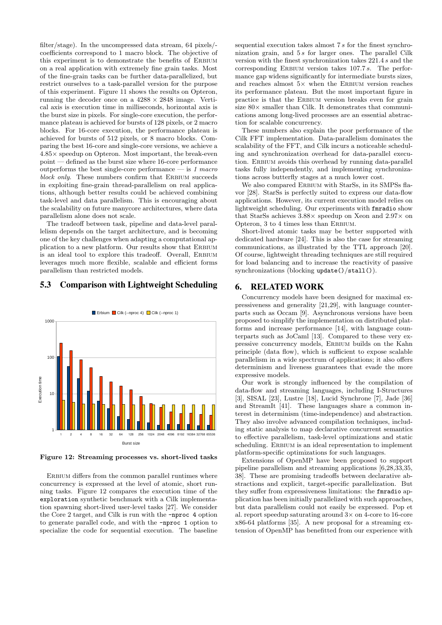filter/stage). In the uncompressed data stream, 64 pixels/ coefficients correspond to 1 macro block. The objective of this experiment is to demonstrate the benefits of ERBIUM on a real application with extremely fine grain tasks. Most of the fine-grain tasks can be further data-parallelized, but restrict ourselves to a task-parallel version for the purpose of this experiment. Figure 11 shows the results on Opteron, running the decoder once on a  $4288 \times 2848$  image. Vertical axis is execution time in milliseconds, horizontal axis is the burst size in pixels. For single-core execution, the performance plateau is achieved for bursts of 128 pixels, or 2 macro blocks. For 16-core execution, the performance plateau is achieved for bursts of 512 pixels, or 8 macro blocks. Comparing the best 16-core and single-core versions, we achieve a  $4.85\times$  speedup on Opteron. Most important, the break-even point — defined as the burst size where 16-core performance outperforms the best single-core performance  $-$  is 1 macro  $block onlu.$  These numbers confirm that ERBIUM succeeds in exploiting fine-grain thread-parallelism on real applications, although better results could be achieved combining task-level and data parallelism. This is encouraging about the scalability on future manycore architectures, where data parallelism alone does not scale.

The tradeoff between task, pipeline and data-level parallelism depends on the target architecture, and is becoming one of the key challenges when adapting a computational application to a new platform. Our results show that ERBIUM is an ideal tool to explore this tradeoff. Overall, ERBIUM leverages much more flexible, scalable and efficient forms parallelism than restricted models.

## 5.3 Comparison with Lightweight Scheduling



Figure 12: Streaming processes vs. short-lived tasks

ERBIUM differs from the common parallel runtimes where concurrency is expressed at the level of atomic, short running tasks. Figure 12 compares the execution time of the exploration synthetic benchmark with a Cilk implementation spawning short-lived user-level tasks [27]. We consider the Core 2 target, and Cilk is run with the -nproc 4 option to generate parallel code, and with the -nproc 1 option to specialize the code for sequential execution. The baseline

sequential execution takes almost 7 s for the finest synchronization grain, and 5 s for larger ones. The parallel Cilk version with the finest synchronization takes 221.4 s and the corresponding ERBIUM version takes  $107.7 s$ . The performance gap widens significantly for intermediate bursts sizes, and reaches almost  $5\times$  when the ERBIUM version reaches its performance plateau. But the most important figure in practice is that the ERBIUM version breaks even for grain size  $80\times$  smaller than Cilk. It demonstrates that communications among long-lived processes are an essential abstraction for scalable concurrency.

These numbers also explain the poor performance of the Cilk FFT implementation. Data-parallelism dominates the scalability of the FFT, and Cilk incurs a noticeable scheduling and synchronization overhead for data-parallel execution. ERBIUM avoids this overhead by running data-parallel tasks fully independently, and implementing synchronizations across butterfly stages at a much lower cost.

We also compared ERBIUM with StarSs, in its SMPSs flavor [28]. StarSs is perfectly suited to express our data-flow applications. However, its current execution model relies on lightweight scheduling. Our experiments with fmradio show that StarSs achieves 3.88× speedup on Xeon and 2.97× on Opteron, 3 to 4 times less than ERBIUM.

Short-lived atomic tasks may be better supported with dedicated hardware [24]. This is also the case for streaming communications, as illustrated by the TTL approach [20]. Of course, lightweight threading techniques are still required for load balancing and to increase the reactivity of passive synchronizations (blocking update()/stall()).

### 6. RELATED WORK

Concurrency models have been designed for maximal expressiveness and generality [21,29], with language counterparts such as Occam [9]. Asynchronous versions have been proposed to simplify the implementation on distributed platforms and increase performance [14], with language counterparts such as JoCaml [13]. Compared to these very expressive concurrency models, ERBIUM builds on the Kahn principle (data flow), which is sufficient to expose scalable parallelism in a wide spectrum of applications; it also offers determinism and liveness guarantees that evade the more expressive models.

Our work is strongly influenced by the compilation of data-flow and streaming languages, including I-Structures [3], SISAL [23], Lustre [18], Lucid Synchrone [7], Jade [36] and StreamIt [41]. These languages share a common interest in determinism (time-independence) and abstraction. They also involve advanced compilation techniques, including static analysis to map declarative concurrent semantics to effective parallelism, task-level optimizations and static scheduling. ERBIUM is an ideal representation to implement platform-specific optimizations for such languages.

Extensions of OpenMP have been proposed to support pipeline parallelism and streaming applications [6,28,33,35, 38]. These are promising tradeoffs between declarative abstractions and explicit, target-specific parallelization. But they suffer from expressiveness limitations: the fmradio application has been initially parallelized with such approaches, but data parallelism could not easily be expressed. Pop et al. report speedup saturating around  $3\times$  on 4-core to 16-core x86-64 platforms [35]. A new proposal for a streaming extension of OpenMP has benefitted from our experience with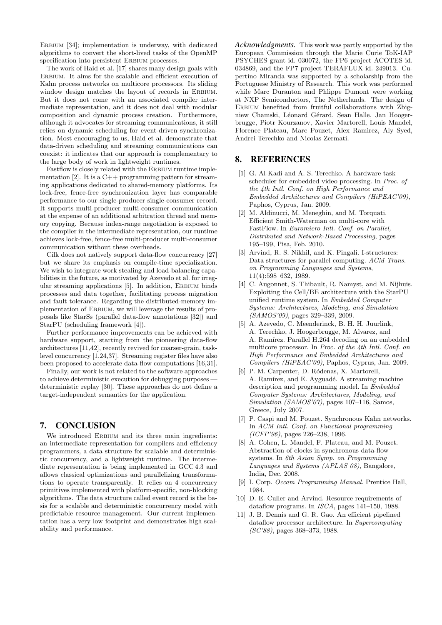ERBIUM [34]; implementation is underway, with dedicated algorithms to convert the short-lived tasks of the OpenMP specification into persistent ERBIUM processes.

The work of Haid et al. [17] shares many design goals with ERBIUM. It aims for the scalable and efficient execution of Kahn process networks on multicore processors. Its sliding window design matches the layout of records in ERBIUM. But it does not come with an associated compiler intermediate representation, and it does not deal with modular composition and dynamic process creation. Furthermore, although it advocates for streaming communications, it still relies on dynamic scheduling for event-driven synchronization. Most encouraging to us, Haid et al. demonstrate that data-driven scheduling and streaming communications can coexist: it indicates that our approach is complementary to the large body of work in lightweight runtimes.

Fastflow is closely related with the ERBIUM runtime implementation [2]. It is a  $C++$  programming pattern for streaming applications dedicated to shared-memory platforms. Its lock-free, fence-free synchronization layer has comparable performance to our single-producer single-consumer record. It supports multi-producer multi-consumer communication at the expense of an additional arbitration thread and memory copying. Because index-range negotiation is exposed to the compiler in the intermediate representation, our runtime achieves lock-free, fence-free multi-producer multi-consumer communication without these overheads.

Cilk does not natively support data-flow concurrency [27] but we share its emphasis on compile-time specialization. We wish to integrate work stealing and load-balancing capabilities in the future, as motivated by Azevedo et al. for irregular streaming applications [5]. In addition, ERBIUM binds processes and data together, facilitating process migration and fault tolerance. Regarding the distributed-memory implementation of ERBIUM, we will leverage the results of proposals like StarSs (parallel data-flow annotations [32]) and StarPU (scheduling framework [4]).

Further performance improvements can be achieved with hardware support, starting from the pioneering data-flow architectures [11,42], recently revived for coarser-grain, tasklevel concurrency [1,24,37]. Streaming register files have also been proposed to accelerate data-flow computations [16,31].

Finally, our work is not related to the software approaches to achieve deterministic execution for debugging purposes deterministic replay [30]. These approaches do not define a target-independent semantics for the application.

## 7. CONCLUSION

We introduced ERBIUM and its three main ingredients: an intermediate representation for compilers and efficiency programmers, a data structure for scalable and deterministic concurrency, and a lightweight runtime. The intermediate representation is being implemented in GCC 4.3 and allows classical optimizations and parallelizing transformations to operate transparently. It relies on 4 concurrency primitives implemented with platform-specific, non-blocking algorithms. The data structure called event record is the basis for a scalable and deterministic concurrency model with predictable resource management. Our current implementation has a very low footprint and demonstrates high scalability and performance.

*Acknowledgments.* This work was partly supported by the European Commission through the Marie Curie ToK-IAP PSYCHES grant id. 030072, the FP6 project ACOTES id. 034869, and the FP7 project TERAFLUX id. 249013. Cupertino Miranda was supported by a scholarship from the Portuguese Ministry of Research. This work was performed while Marc Duranton and Phlippe Dumont were working at NXP Semiconductors, The Netherlands. The design of ERBIUM benefited from fruitful collaborations with Zbigniew Chamski, Léonard Gérard, Sean Halle, Jan Hoogerbrugge, Piotr Kourzanov, Xavier Martorell, Louis Mandel, Florence Plateau, Marc Pouzet, Alex Ramirez, Aly Syed, Andrei Terechko and Nicolas Zermati.

## 8. REFERENCES

- [1] G. Al-Kadi and A. S. Terechko. A hardware task scheduler for embedded video processing. In Proc. of the 4th Intl. Conf. on High Performance and Embedded Architectures and Compilers (HiPEAC'09), Paphos, Cyprus, Jan. 2009.
- [2] M. Aldinucci, M. Meneghin, and M. Torquati. Efficient Smith-Waterman on multi-core with FastFlow. In Euromicro Intl. Conf. on Parallel, Distributed and Network-Based Processing, pages 195–199, Pisa, Feb. 2010.
- [3] Arvind, R. S. Nikhil, and K. Pingali. I-structures: Data structures for parallel computing. ACM Trans. on Programming Languages and Systems, 11(4):598–632, 1989.
- [4] C. Augonnet, S. Thibault, R. Namyst, and M. Nijhuis. Exploiting the Cell/BE architecture with the StarPU unified runtime system. In Embedded Computer Systems: Architectures, Modeling, and Simulation (SAMOS'09), pages 329–339, 2009.
- [5] A. Azevedo, C. Meenderinck, B. H. H. Juurlink, A. Terechko, J. Hoogerbrugge, M. Alvarez, and A. Ramírez. Parallel H.264 decoding on an embedded multicore processor. In Proc. of the 4th Intl. Conf. on High Performance and Embedded Architectures and Compilers (HiPEAC'09), Paphos, Cyprus, Jan. 2009.
- [6] P. M. Carpenter, D. Ródenas, X. Martorell, A. Ramírez, and E. Ayguadé. A streaming machine description and programming model. In Embedded Computer Systems: Architectures, Modeling, and Simulation (SAMOS'07), pages 107–116, Samos, Greece, July 2007.
- [7] P. Caspi and M. Pouzet. Synchronous Kahn networks. In ACM Intl. Conf. on Functional programming (ICFP'96), pages 226–238, 1996.
- [8] A. Cohen, L. Mandel, F. Plateau, and M. Pouzet. Abstraction of clocks in synchronous data-flow systems. In 6th Asian Symp. on Programming Languages and Systems (APLAS 08), Bangalore, India, Dec. 2008.
- [9] I. Corp. Occam Programming Manual. Prentice Hall, 1984.
- [10] D. E. Culler and Arvind. Resource requirements of dataflow programs. In ISCA, pages 141–150, 1988.
- [11] J. B. Dennis and G. R. Gao. An efficient pipelined dataflow processor architecture. In Supercomputing (SC'88), pages 368–373, 1988.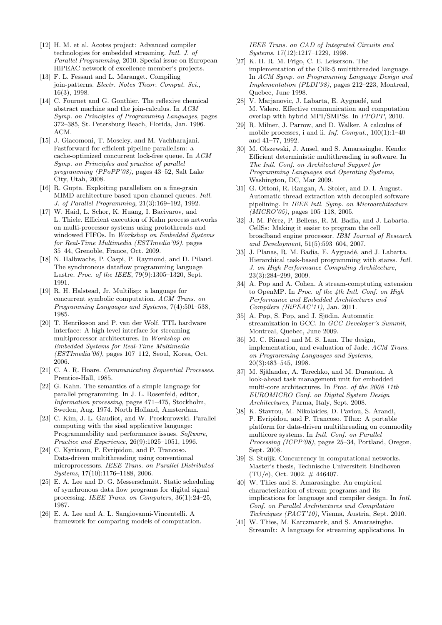- [12] H. M. et al. Acotes project: Advanced compiler technologies for embedded streaming. Intl. J. of Parallel Programming, 2010. Special issue on European HiPEAC network of excellence member's projects.
- [13] F. L. Fessant and L. Maranget. Compiling join-patterns. Electr. Notes Theor. Comput. Sci., 16(3), 1998.
- [14] C. Fournet and G. Gonthier. The reflexive chemical abstract machine and the join-calculus. In ACM Symp. on Principles of Programming Languages, pages 372–385, St. Petersburg Beach, Florida, Jan. 1996. ACM.
- [15] J. Giacomoni, T. Moseley, and M. Vachharajani. Fastforward for efficient pipeline parallelism: a cache-optimized concurrent lock-free queue. In ACM Symp. on Principles and practice of parallel programming (PPoPP'08), pages 43–52, Salt Lake City, Utah, 2008.
- [16] R. Gupta. Exploiting parallelism on a fine-grain MIMD architecture based upon channel queues. Intl. J. of Parallel Programming, 21(3):169–192, 1992.
- [17] W. Haid, L. Schor, K. Huang, I. Bacivarov, and L. Thiele. Efficient execution of Kahn process networks on multi-processor systems using protothreads and windowed FIFOs. In Workshop on Embedded Systems for Real-Time Multimedia (ESTImedia'09), pages 35–44, Grenoble, France, Oct. 2009.
- [18] N. Halbwachs, P. Caspi, P. Raymond, and D. Pilaud. The synchronous dataflow programming language Lustre. Proc. of the IEEE, 79(9):1305–1320, Sept. 1991.
- [19] R. H. Halstead, Jr. Multilisp: a language for concurrent symbolic computation. ACM Trans. on Programming Languages and Systems, 7(4):501–538, 1985.
- [20] T. Henriksson and P. van der Wolf. TTL hardware interface: A high-level interface for streaming multiprocessor architectures. In Workshop on Embedded Systems for Real-Time Multimedia  $(ESTI media'06)$ , pages 107–112, Seoul, Korea, Oct. 2006.
- [21] C. A. R. Hoare. Communicating Sequential Processes. Prentice-Hall, 1985.
- [22] G. Kahn. The semantics of a simple language for parallel programming. In J. L. Rosenfeld, editor, Information processing, pages 471–475, Stockholm, Sweden, Aug. 1974. North Holland, Amsterdam.
- [23] C. Kim, J.-L. Gaudiot, and W. Proskurowski. Parallel computing with the sisal applicative language: Programmability and performance issues. Software, Practice and Experience, 26(9):1025–1051, 1996.
- [24] C. Kyriacou, P. Evripidou, and P. Trancoso. Data-driven multithreading using conventional microprocessors. IEEE Trans. on Parallel Distributed Systems, 17(10):1176–1188, 2006.
- [25] E. A. Lee and D. G. Messerschmitt. Static scheduling of synchronous data flow programs for digital signal processing. IEEE Trans. on Computers, 36(1):24–25, 1987.
- [26] E. A. Lee and A. L. Sangiovanni-Vincentelli. A framework for comparing models of computation.

IEEE Trans. on CAD of Integrated Circuits and Systems, 17(12):1217–1229, 1998.

- [27] K. H. R. M. Frigo, C. E. Leiserson. The implementation of the Cilk-5 multithreaded language. In ACM Symp. on Programming Language Design and Implementation (PLDI'98), pages 212–223, Montreal, Quebec, June 1998.
- [28] V. Marjanovic, J. Labarta, E. Ayguadé, and M. Valero. Effective communication and computation overlap with hybrid MPI/SMPSs. In PPOPP, 2010.
- [29] R. Milner, J. Parrow, and D. Walker. A calculus of mobile processes, i and ii. Inf. Comput.,  $100(1):1-40$ and 41–77, 1992.
- [30] M. Olszewski, J. Ansel, and S. Amarasinghe. Kendo: Efficient deterministic multithreading in software. In The Intl. Conf. on Architectural Support for Programming Languages and Operating Systems, Washington, DC, Mar 2009.
- [31] G. Ottoni, R. Rangan, A. Stoler, and D. I. August. Automatic thread extraction with decoupled software pipelining. In IEEE Intl. Symp. on Microarchitecture (MICRO'05), pages 105–118, 2005.
- [32] J. M. Pérez, P. Bellens, R. M. Badia, and J. Labarta. CellSs: Making it easier to program the cell broadband engine processor. IBM Journal of Research and Development, 51(5):593–604, 2007.
- [33] J. Planas, R. M. Badia, E. Ayguadé, and J. Labarta. Hierarchical task-based programming with starss. Intl. J. on High Performance Computing Architecture, 23(3):284–299, 2009.
- [34] A. Pop and A. Cohen. A stream-comptuting extension to OpenMP. In Proc. of the 4th Intl. Conf. on High Performance and Embedded Architectures and Compilers (HiPEAC'11), Jan. 2011.
- [35] A. Pop, S. Pop, and J. Sjödin. Automatic streamization in GCC. In GCC Developer's Summit, Montreal, Quebec, June 2009.
- [36] M. C. Rinard and M. S. Lam. The design, implementation, and evaluation of Jade. ACM Trans. on Programming Languages and Systems, 20(3):483–545, 1998.
- [37] M. Själander, A. Terechko, and M. Duranton. A look-ahead task management unit for embedded multi-core architectures. In Proc. of the 2008 11th EUROMICRO Conf. on Digital System Design Architectures, Parma, Italy, Sept. 2008.
- [38] K. Stavrou, M. Nikolaides, D. Pavlou, S. Arandi, P. Evripidou, and P. Trancoso. Tflux: A portable platform for data-driven multithreading on commodity multicore systems. In Intl. Conf. on Parallel Processing (ICPP'08), pages 25–34, Portland, Oregon, Sept. 2008.
- [39] S. Stuijk. Concurrency in computational networks. Master's thesis, Technische Universiteit Eindhoven  $(TU/e)$ , Oct. 2002.  $\#$  446407.
- [40] W. Thies and S. Amarasinghe. An empirical characterization of stream programs and its implications for language and compiler design. In Intl. Conf. on Parallel Architectures and Compilation Techniques (PACT'10), Vienna, Austria, Sept. 2010.
- [41] W. Thies, M. Karczmarek, and S. Amarasinghe. StreamIt: A language for streaming applications. In